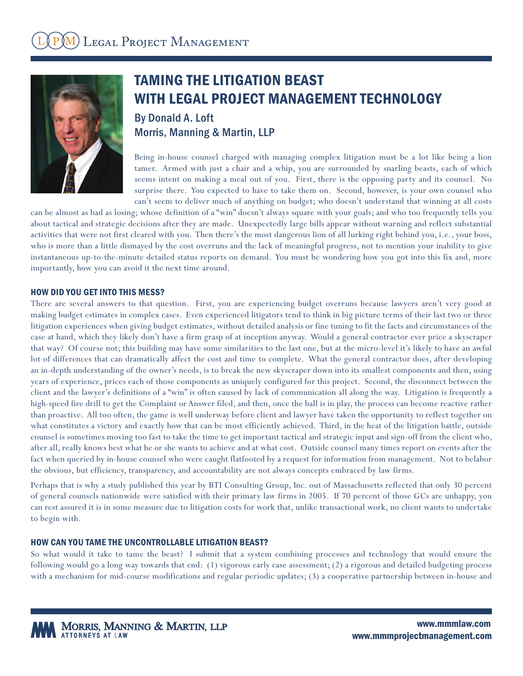

# TAMING THE LITIGATION BEAST WITH LEGAL PROJECT MANAGEMENT TECHNOLOGY

# By Donald A. Loft Morris, Manning & Martin, LLP

Being in-house counsel charged with managing complex litigation must be a lot like being a lion tamer. Armed with just a chair and a whip, you are surrounded by snarling beasts, each of which seems intent on making a meal out of you. First, there is the opposing party and its counsel. No surprise there. You expected to have to take them on. Second, however, is your own counsel who can't seem to deliver much of anything on budget; who doesn't understand that winning at all costs

can be almost as bad as losing; whose definition of a "win" doesn't always square with your goals; and who too frequently tells you about tactical and strategic decisions after they are made. Unexpectedly large bills appear without warning and reflect substantial activities that were not first cleared with you. Then there's the most dangerous lion of all lurking right behind you, i.e., your boss, who is more than a little dismayed by the cost overruns and the lack of meaningful progress, not to mention your inability to give instantaneous up-to-the-minute detailed status reports on demand. You must be wondering how you got into this fix and, more importantly, how you can avoid it the next time around.

#### HOW DID YOU GET INTO THIS MESS?

There are several answers to that question. First, you are experiencing budget overruns because lawyers aren't very good at making budget estimates in complex cases. Even experienced litigators tend to think in big picture terms of their last two or three litigation experiences when giving budget estimates, without detailed analysis or fine tuning to fit the facts and circumstances of the case at hand, which they likely don't have a firm grasp of at inception anyway. Would a general contractor ever price a skyscraper that way? Of course not; this building may have some similarities to the last one, but at the micro-level it's likely to have an awful lot of differences that can dramatically affect the cost and time to complete. What the general contractor does, after developing an in-depth understanding of the owner's needs, is to break the new skyscraper down into its smallest components and then, using years of experience, prices each of those components as uniquely configured for this project. Second, the disconnect between the client and the lawyer's definitions of a "win" is often caused by lack of communication all along the way. Litigation is frequently a high-speed fire drill to get the Complaint or Answer filed, and then, once the ball is in play, the process can become reactive rather than proactive. All too often, the game is well underway before client and lawyer have taken the opportunity to reflect together on what constitutes a victory and exactly how that can be most efficiently achieved. Third, in the heat of the litigation battle, outside counsel is sometimes moving too fast to take the time to get important tactical and strategic input and sign-off from the client who, after all, really knows best what he or she wants to achieve and at what cost. Outside counsel many times report on events after the fact when queried by in-house counsel who were caught flatfooted by a request for information from management. Not to belabor the obvious, but efficiency, transparency, and accountability are not always concepts embraced by law firms.

Perhaps that is why a study published this year by BTI Consulting Group, Inc. out of Massachusetts reflected that only 30 percent of general counsels nationwide were satisfied with their primary law firms in 2005. If 70 percent of those GCs are unhappy, you can rest assured it is in some measure due to litigation costs for work that, unlike transactional work, no client wants to undertake to begin with.

#### HOW CAN YOU TAME THE UNCONTROLLABLE LITIGATION BEAST?

So what would it take to tame the beast? I submit that a system combining processes and technology that would ensure the following would go a long way towards that end: (1) vigorous early case assessment; (2) a rigorous and detailed budgeting process with a mechanism for mid-course modifications and regular periodic updates; (3) a cooperative partnership between in-house and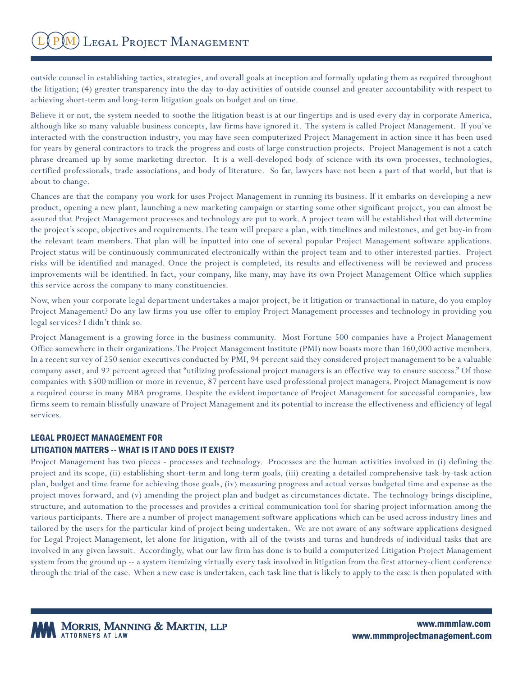outside counsel in establishing tactics, strategies, and overall goals at inception and formally updating them as required throughout the litigation; (4) greater transparency into the day-to-day activities of outside counsel and greater accountability with respect to achieving short-term and long-term litigation goals on budget and on time.

Believe it or not, the system needed to soothe the litigation beast is at our fingertips and is used every day in corporate America, although like so many valuable business concepts, law firms have ignored it. The system is called Project Management. If you've interacted with the construction industry, you may have seen computerized Project Management in action since it has been used for years by general contractors to track the progress and costs of large construction projects. Project Management is not a catch phrase dreamed up by some marketing director. It is a well-developed body of science with its own processes, technologies, certified professionals, trade associations, and body of literature. So far, lawyers have not been a part of that world, but that is about to change.

Chances are that the company you work for uses Project Management in running its business. If it embarks on developing a new product, opening a new plant, launching a new marketing campaign or starting some other significant project, you can almost be assured that Project Management processes and technology are put to work. A project team will be established that will determine the project's scope, objectives and requirements. The team will prepare a plan, with timelines and milestones, and get buy-in from the relevant team members. That plan will be inputted into one of several popular Project Management software applications. Project status will be continuously communicated electronically within the project team and to other interested parties. Project risks will be identified and managed. Once the project is completed, its results and effectiveness will be reviewed and process improvements will be identified. In fact, your company, like many, may have its own Project Management Office which supplies this service across the company to many constituencies.

Now, when your corporate legal department undertakes a major project, be it litigation or transactional in nature, do you employ Project Management? Do any law firms you use offer to employ Project Management processes and technology in providing you legal services? I didn't think so.

Project Management is a growing force in the business community. Most Fortune 500 companies have a Project Management Office somewhere in their organizations. The Project Management Institute (PMI) now boasts more than 160,000 active members. In a recent survey of 250 senior executives conducted by PMI, 94 percent said they considered project management to be a valuable company asset, and 92 percent agreed that "utilizing professional project managers is an effective way to ensure success." Of those companies with \$500 million or more in revenue, 87 percent have used professional project managers. Project Management is now a required course in many MBA programs. Despite the evident importance of Project Management for successful companies, law firms seem to remain blissfully unaware of Project Management and its potential to increase the effectiveness and efficiency of legal services.

## LEGAL PROJECT MANAGEMENT FOR

## LITIGATION MATTERS -- WHAT IS IT AND DOES IT EXIST?

Project Management has two pieces - processes and technology. Processes are the human activities involved in (i) defining the project and its scope, (ii) establishing short-term and long-term goals, (iii) creating a detailed comprehensive task-by-task action plan, budget and time frame for achieving those goals, (iv) measuring progress and actual versus budgeted time and expense as the project moves forward, and (v) amending the project plan and budget as circumstances dictate. The technology brings discipline, structure, and automation to the processes and provides a critical communication tool for sharing project information among the various participants. There are a number of project management software applications which can be used across industry lines and tailored by the users for the particular kind of project being undertaken. We are not aware of any software applications designed for Legal Project Management, let alone for litigation, with all of the twists and turns and hundreds of individual tasks that are involved in any given lawsuit. Accordingly, what our law firm has done is to build a computerized Litigation Project Management system from the ground up -- a system itemizing virtually every task involved in litigation from the first attorney-client conference through the trial of the case. When a new case is undertaken, each task line that is likely to apply to the case is then populated with